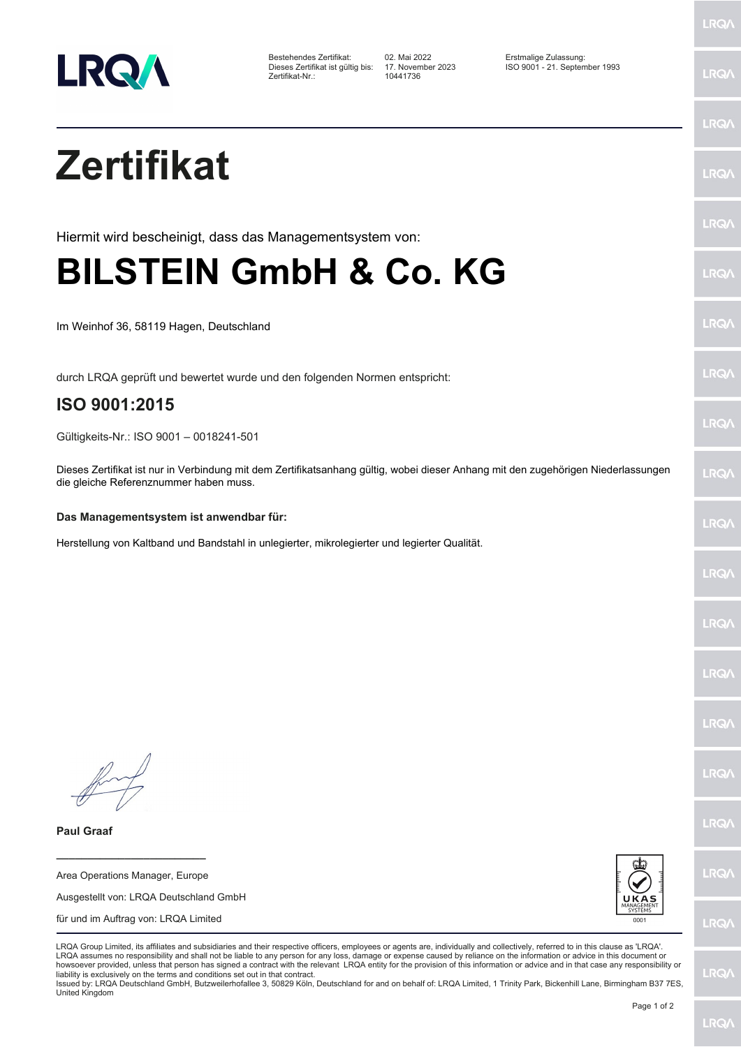

Dieses Zertifikat ist gültig bis: 17. Novem<br>Zertifikat-Nr.: 10441736

Bestehendes Zertifikat: 02. Mai 2022 Erstmalige Zulassung: Dieses Zertifikat ist gültig bis: 17. November 2023 ISO 9001 - 21. September 1993

LRQ/

LRQ/

LRQ/

LRQ/

LRQ/

LRQ/

LRQ/

LRQ/

**LRQA** 

**LRO** 

LRQ/

LRQ/

LRQ/

**LRQ/** 

LRQ/

**IRQA** 

LRQ/

LRQ/

**LRQ/** 

LRQ/

## **Zertifikat**

Hiermit wird bescheinigt, dass das Managementsystem von:

## **BILSTEIN GmbH & Co. KG**

Im Weinhof 36, 58119 Hagen, Deutschland

durch LRQA geprüft und bewertet wurde und den folgenden Normen entspricht:

## **ISO 9001:2015**

Gültigkeits-Nr.: ISO 9001 – 0018241-501

Dieses Zertifikat ist nur in Verbindung mit dem Zertifikatsanhang gültig, wobei dieser Anhang mit den zugehörigen Niederlassungen die gleiche Referenznummer haben muss.

## **Das Managementsystem ist anwendbar für:**

Herstellung von Kaltband und Bandstahl in unlegierter, mikrolegierter und legierter Qualität.

**Paul Graaf**

Area Operations Manager, Europe Ausgestellt von: LRQA Deutschland GmbH für und im Auftrag von: LRQA Limited

**\_\_\_\_\_\_\_\_\_\_\_\_\_\_\_\_\_\_\_\_\_\_\_\_**



LRQA Group Limited, its affiliates and subsidiaries and their respective officers, employees or agents are, individually and collectively, referred to in this clause as 'LRQA'. LRQA assumes no responsibility and shall not be liable to any person for any loss, damage or expense caused by reliance on the information or advice in this document or howsoever provided, unless that person has signed a contract with the relevant LRQA entity for the provision of this information or advice and in that case any responsibility or liability is exclusively on the terms and conditions set out in that contract.

Issued by: LRQA Deutschland GmbH, Butzweilerhofallee 3, 50829 Köln, Deutschland for and on behalf of: LRQA Limited, 1 Trinity Park, Bickenhill Lane, Birmingham B37 7ES, United Kingdom